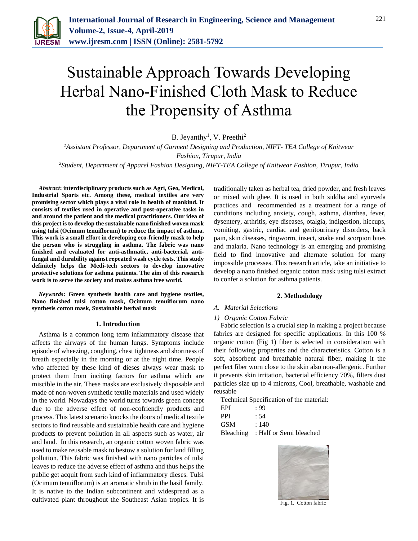

# Sustainable Approach Towards Developing Herbal Nano-Finished Cloth Mask to Reduce the Propensity of Asthma

B. Jeyanthy<sup>1</sup>, V. Preethi<sup>2</sup>

*<sup>1</sup>Assistant Professor, Department of Garment Designing and Production, NIFT- TEA College of Knitwear Fashion, Tirupur, India 2Student, Department of Apparel Fashion Designing, NIFT-TEA College of Knitwear Fashion, Tirupur, India*

*Abstract***: interdisciplinary products such as Agri, Geo, Medical, Industrial Sports etc. Among these, medical textiles are very promising sector which plays a vital role in health of mankind. It consists of textiles used in operative and post-operative tasks in and around the patient and the medical practitioners. Our idea of this project is to develop the sustainable nano finished woven mask using tulsi (Ocimum tenuiflorum) to reduce the impact of asthma. This work is a small effort in developing eco-friendly mask to help the person who is struggling in asthma. The fabric was nano finished and evaluated for anti-asthmatic, anti-bacterial, antifungal and durability against repeated wash cycle tests. This study definitely helps the Medi-tech sectors to develop innovative protective solutions for asthma patients. The aim of this research work is to serve the society and makes asthma free world.**

*Keywords***: Green synthesis health care and hygiene textiles, Nano finished tulsi cotton mask, Ocimum tenuiflorum nano synthesis cotton mask, Sustainable herbal mask**

#### **1. Introduction**

Asthma is a common long term inflammatory disease that affects the airways of the human lungs. Symptoms include episode of wheezing, coughing, chest tightness and shortness of breath especially in the morning or at the night time. People who affected by these kind of dieses always wear mask to protect them from inciting factors for asthma which are miscible in the air. These masks are exclusively disposable and made of non-woven synthetic textile materials and used widely in the world. Nowadays the world turns towards green concept due to the adverse effect of non-ecofriendly products and process. This latest scenario knocks the doors of medical textile sectors to find reusable and sustainable health care and hygiene products to prevent pollution in all aspects such as water, air and land. In this research, an organic cotton woven fabric was used to make reusable mask to bestow a solution for land filling pollution. This fabric was finished with nano particles of tulsi leaves to reduce the adverse effect of asthma and thus helps the public get acquit from such kind of inflammatory dieses. Tulsi (Ocimum tenuiflorum) is an aromatic shrub in the basil family. It is native to the Indian subcontinent and widespread as a cultivated plant throughout the Southeast Asian tropics. It is

traditionally taken as herbal tea, dried powder, and fresh leaves or mixed with ghee. It is used in both siddha and ayurveda practices and recommended as a treatment for a range of conditions including anxiety, cough, asthma, diarrhea, fever, dysentery, arthritis, eye diseases, otalgia, indigestion, hiccups, vomiting, gastric, cardiac and genitourinary disorders, back pain, skin diseases, ringworm, insect, snake and scorpion bites and malaria. Nano technology is an emerging and promising field to find innovative and alternate solution for many impossible processes. This research article, take an initiative to develop a nano finished organic cotton mask using tulsi extract to confer a solution for asthma patients.

#### **2. Methodology**

#### *A. Material Selections*

#### *1) Organic Cotton Fabric*

Fabric selection is a crucial step in making a project because fabrics are designed for specific applications. In this 100 % organic cotton (Fig 1) fiber is selected in consideration with their following properties and the characteristics. Cotton is a soft, absorbent and breathable natural fiber, making it the perfect fiber worn close to the skin also non-allergenic. Further it prevents skin irritation, bacterial efficiency 70%, filters dust particles size up to 4 microns, Cool, breathable, washable and reusable

Technical Specification of the material:

| EPI        | . 99                                      |
|------------|-------------------------------------------|
| PPI        | : 54                                      |
| GSM        | : 140                                     |
| $D0$ alina | $. \text{II}$ <sub>0</sub> 1 $\epsilon$ . |

Bleaching : Half or Semi bleached



Fig. 1. Cotton fabric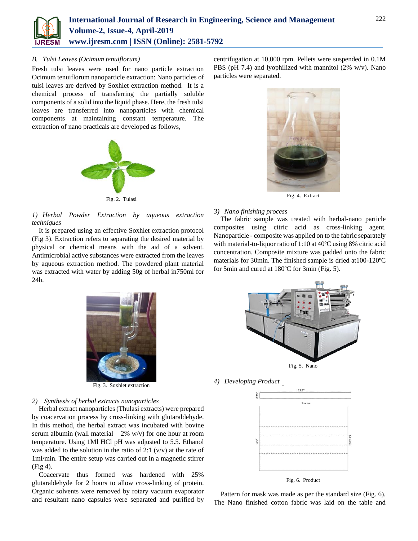

#### *B. Tulsi Leaves (Ocimum tenuiflorum)*

Fresh tulsi leaves were used for nano particle extraction Ocimum tenuiflorum nanoparticle extraction: Nano particles of tulsi leaves are derived by Soxhlet extraction method. It is a chemical process of transferring the partially soluble components of a solid into the liquid phase. Here, the fresh tulsi leaves are transferred into nanoparticles with chemical components at maintaining constant temperature. The extraction of nano practicals are developed as follows,



Fig. 2. Tulasi

*1) Herbal Powder Extraction by aqueous extraction techniques*

It is prepared using an effective Soxhlet extraction protocol (Fig 3). Extraction refers to separating the desired material by physical or chemical means with the aid of a solvent. Antimicrobial active substances were extracted from the leaves by aqueous extraction method. The powdered plant material was extracted with water by adding 50g of herbal in750ml for 24h.





Fig. 4. Extract

#### *3) Nano finishing process*

The fabric sample was treated with herbal-nano particle composites using citric acid as cross-linking agent. Nanoparticle - composite was applied on to the fabric separately with material-to-liquor ratio of 1:10 at 40ºC using 8% citric acid concentration. Composite mixture was padded onto the fabric materials for 30min. The finished sample is dried at100-120ºC for 5min and cured at 180ºC for 3min (Fig. 5).



Fig. 3. Soxhlet extraction

### *2) Synthesis of herbal extracts nanoparticles*

Herbal extract nanoparticles (Thulasi extracts) were prepared by coacervation process by cross-linking with glutaraldehyde. In this method, the herbal extract was incubated with bovine serum albumin (wall material  $-2\%$  w/v) for one hour at room temperature. Using 1Ml HCl pH was adjusted to 5.5. Ethanol was added to the solution in the ratio of 2:1  $(v/v)$  at the rate of 1ml/min. The entire setup was carried out in a magnetic stirrer (Fig 4).

Coacervate thus formed was hardened with 25% glutaraldehyde for 2 hours to allow cross-linking of protein. Organic solvents were removed by rotary vacuum evaporator and resultant nano capsules were separated and purified by



*4) Developing Product*



Fig. 6. Product

Pattern for mask was made as per the standard size (Fig. 6). The Nano finished cotton fabric was laid on the table and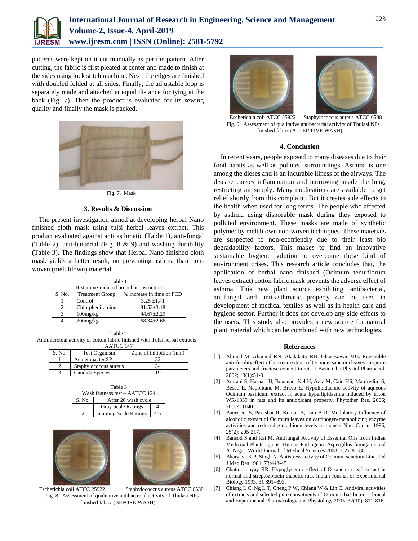

## **International Journal of Research in Engineering, Science and Management Volume-2, Issue-4, April-2019 www.ijresm.com | ISSN (Online): 2581-5792**

patterns were kept on it cut manually as per the pattern. After cutting, the fabric is first pleated at center and made to finish at the sides using lock stitch machine. Next, the edges are finished with doubled folded at all sides. Finally, the adjustable loop is separately made and attached at equal distance for tying at the back (Fig. 7). Then the product is evaluated for its sewing quality and finally the mask is packed.



Fig. 7. Mask

#### **3. Results & Discussion**

The present investigation aimed at developing herbal Nano finished cloth mask using tulsi herbal leaves extract. This product evaluated against anti asthmatic (Table 1), anti-fungal (Table 2), anti-bacterial (Fig. 8 & 9) and washing durability (Table 3). The findings show that Herbal Nano finished cloth mask yields a better result, on preventing asthma than nonwoven (melt blown) material.

Table 1 Histamine-induced bronchoconstriction<br>Treatment Group | % increase in time S. No. Treatment Group \% increase in time of PCD 1 Control 3.25 ±1.41 2 Chlorpheniramine 81.53±3.18 3 100mg/kg 44.67±2.29 4 200mg/kg 68.34±2.66

Table 2 Antimicrobial activity of cotton fabric finished with Tulsi herbal extracts – AATCC 147

| S. No. | <b>Test Organism</b>  | Zone of inhibition (mm) |
|--------|-----------------------|-------------------------|
|        | Acinetobacter SP      |                         |
|        | Staphylococcus aureus |                         |
|        | Candida Species       |                         |

Table 3 Wash fastness test – AATCC 124 S. No. **After 20 wash cycle** 1 Gray Scale Ratings 4 Staining Scale Ratings 4-5





Escherichia coli ATCC 25922 Staphylococcus aureus ATCC 6538 Fig. 8. Assessment of qualitative antibacterial activity of Thulasi NPs finished fabric (BEFORE WASH)



 Escherichia coli ATCC 25922 Staphylococcus aureus ATCC 6538 Fig. 9. Assessment of qualitative antibacterial activity of Thulasi NPs finished fabric (AFTER FIVE WASH)

#### **4. Conclusion**

In recent years, people exposed to many diseases due to their food habits as well as polluted surroundings. Asthma is one among the dieses and is an incurable illness of the airways. The disease causes inflammation and narrowing inside the lung, restricting air supply. Many medications are available to get relief shortly from this complaint. But it creates side effects to the health when used for long terms. The people who affected by asthma using disposable mask during they exposed to polluted environment. These masks are made of synthetic polymer by melt blown non-woven techniques. These materials are suspected to non-ecofriendly due to their least bio degradability factors. This makes to find an innovative sustainable hygiene solution to overcome these kind of environment crises. This research article concludes that, the application of herbal nano finished (Ocimum tenuiflorum leaves extract) cotton fabric mask prevents the adverse effect of asthma. This new plant source exhibiting, antibacterial, antifungal and anti-asthmatic property can be used in development of medical textiles as well as in health care and hygiene sector. Further it does not develop any side effects to the users. This study also provides a new source for natural plant material which can be combined with new technologies.

#### **References**

- [1] Ahmed M, Ahamed RN, Aladakatti RH, Ghosesawar MG. Reversible anti-fertilityeffect of benzene extract of Ocimum sanctum leaves on sperm parameters and fructose content in rats. J Basic Clin Physiol Pharmacol. 2002; 13(1):51-9.
- [2] Amrani S, Harnafi H, Bouanani Nel H, Aziz M, Caid HS, Manfredini S, Besco E, Napolitano M, Bravo E. Hypolipidaemic activity of aqueous Ocimum basilicum extract in acute hyperlipidaemia induced by triton WR-1339 in rats and its antioxidant property. Phytother Res. 2006; 20(12):1040-5.
- [3] Banerjee, S, Parashar R, Kumar A, Rao A R. Modulatory influence of alcoholic extract of Ocimum leaves on carcinogen-metabolizing enzyme activities and reduced glutathione levels in mouse. Nutr Cancer 1996, 25(2): 205-217.
- [4] Bansod S and Rai M. Antifungal Activity of Essential Oils from Indian Medicinal Plants against Human Pathogenic Aspergillus fumigatus and A. Niger. World Journal of Medical Sciences 2008, 3(2): 81-88.
- [5] Bhargava K P, Singh N. Antistress activity of Ocimum sanctum Linn. Ind J Med Res 1981, 73:443-451.
- [6] Chattopadhyay RR. Hypoglycemic effect of O sanctum leaf extract in normal and streptozotocin diabetic rats. Indian Journal of Experimental Biology 1993, 31 891–893.
- [7] Chiang L C, Ng L T, Cheng P W, Chiang W & Lin C. Antiviral activities of extracts and selected pure constituents of Ocimum basilicum. Clinical and Experimental Pharmacology and Physiology 2005, 32(10): 811-816.